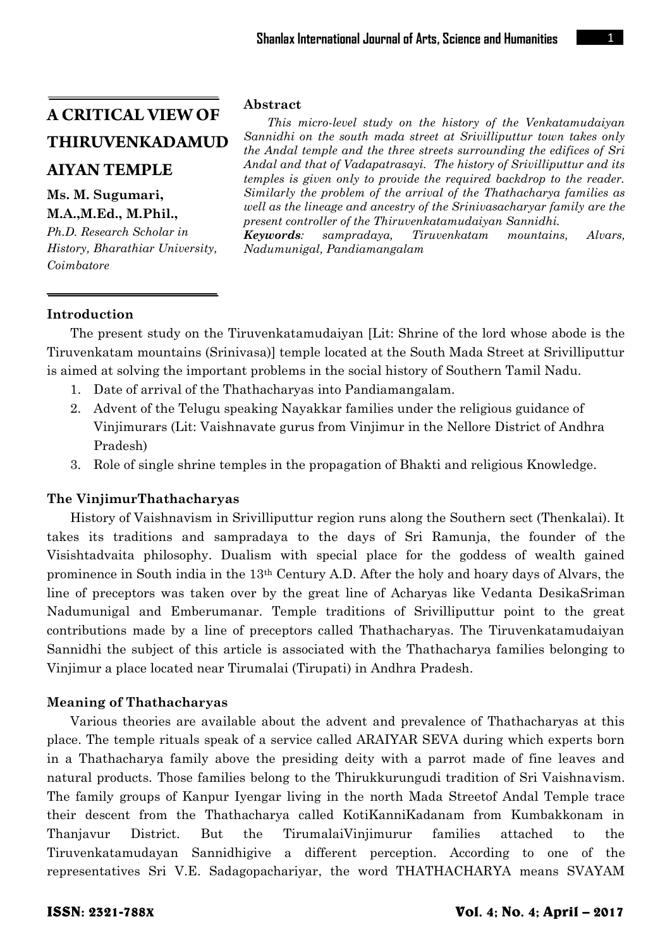# **A CRITICAL VIEW OF THIRUVENKADAMUD AIYAN TEMPLE**

# **Ms. M. Sugumari,**

# **M.A.,M.Ed., M.Phil.,**

*Ph.D. Research Scholar in History, Bharathiar University, Coimbatore*

#### **Abstract**

*This micro-level study on the history of the Venkatamudaiyan Sannidhi on the south mada street at Srivilliputtur town takes only the Andal temple and the three streets surrounding the edifices of Sri Andal and that of Vadapatrasayi. The history of Srivilliputtur and its temples is given only to provide the required backdrop to the reader. Similarly the problem of the arrival of the Thathacharya families as well as the lineage and ancestry of the Srinivasacharyar family are the present controller of the Thiruvenkatamudaiyan Sannidhi.*

*Keywords: sampradaya, Tiruvenkatam mountains, Alvars, Nadumunigal, Pandiamangalam*

# **Introduction**

The present study on the Tiruvenkatamudaiyan [Lit: Shrine of the lord whose abode is the Tiruvenkatam mountains (Srinivasa)] temple located at the South Mada Street at Srivilliputtur is aimed at solving the important problems in the social history of Southern Tamil Nadu.

- 1. Date of arrival of the Thathacharyas into Pandiamangalam.
- 2. Advent of the Telugu speaking Nayakkar families under the religious guidance of Vinjimurars (Lit: Vaishnavate gurus from Vinjimur in the Nellore District of Andhra Pradesh)
- 3. Role of single shrine temples in the propagation of Bhakti and religious Knowledge.

#### **The VinjimurThathacharyas**

History of Vaishnavism in Srivilliputtur region runs along the Southern sect (Thenkalai). It takes its traditions and sampradaya to the days of Sri Ramunja, the founder of the Visishtadvaita philosophy. Dualism with special place for the goddess of wealth gained prominence in South india in the 13th Century A.D. After the holy and hoary days of Alvars, the line of preceptors was taken over by the great line of Acharyas like Vedanta DesikaSriman Nadumunigal and Emberumanar. Temple traditions of Srivilliputtur point to the great contributions made by a line of preceptors called Thathacharyas. The Tiruvenkatamudaiyan Sannidhi the subject of this article is associated with the Thathacharya families belonging to Vinjimur a place located near Tirumalai (Tirupati) in Andhra Pradesh.

#### **Meaning of Thathacharyas**

Various theories are available about the advent and prevalence of Thathacharyas at this place. The temple rituals speak of a service called ARAIYAR SEVA during which experts born in a Thathacharya family above the presiding deity with a parrot made of fine leaves and natural products. Those families belong to the Thirukkurungudi tradition of Sri Vaishnavism. The family groups of Kanpur Iyengar living in the north Mada Streetof Andal Temple trace their descent from the Thathacharya called KotiKanniKadanam from Kumbakkonam in Thanjavur District. But the TirumalaiVinjimurur families attached to the Tiruvenkatamudayan Sannidhigive a different perception. According to one of the representatives Sri V.E. Sadagopachariyar, the word THATHACHARYA means SVAYAM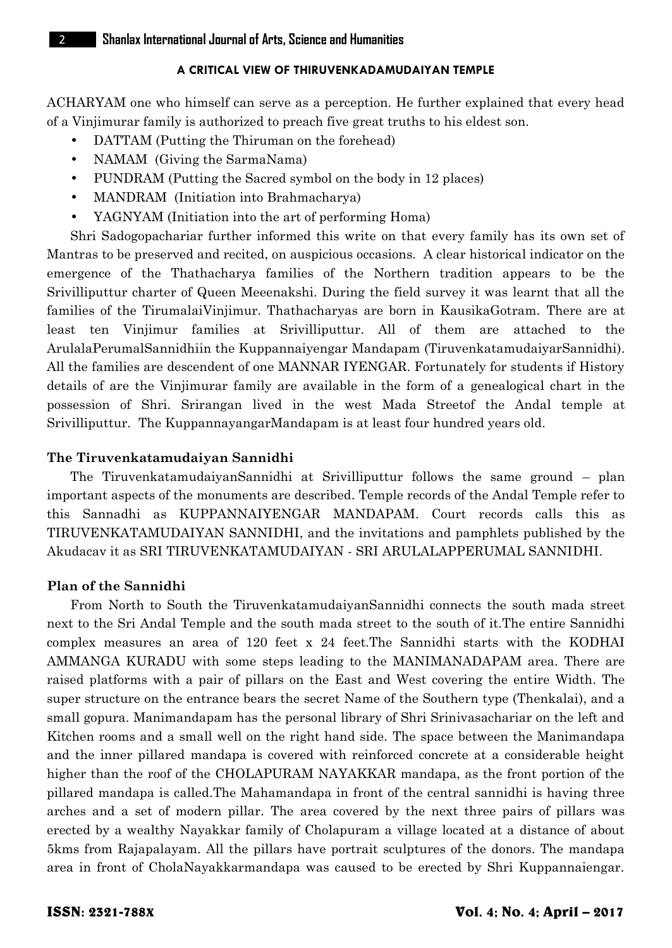#### **A CRITICAL VIEW OF THIRUVENKADAMUDAIYAN TEMPLE**

ACHARYAM one who himself can serve as a perception. He further explained that every head of a Vinjimurar family is authorized to preach five great truths to his eldest son.

- DATTAM (Putting the Thiruman on the forehead)
- NAMAM (Giving the SarmaNama)
- PUNDRAM (Putting the Sacred symbol on the body in 12 places)
- MANDRAM (Initiation into Brahmacharya)
- YAGNYAM (Initiation into the art of performing Homa)

Shri Sadogopachariar further informed this write on that every family has its own set of Mantras to be preserved and recited, on auspicious occasions. A clear historical indicator on the emergence of the Thathacharya families of the Northern tradition appears to be the Srivilliputtur charter of Queen Meeenakshi. During the field survey it was learnt that all the families of the TirumalaiVinjimur. Thathacharyas are born in KausikaGotram. There are at least ten Vinjimur families at Srivilliputtur. All of them are attached to the ArulalaPerumalSannidhiin the Kuppannaiyengar Mandapam (TiruvenkatamudaiyarSannidhi). All the families are descendent of one MANNAR IYENGAR. Fortunately for students if History details of are the Vinjimurar family are available in the form of a genealogical chart in the possession of Shri. Srirangan lived in the west Mada Streetof the Andal temple at Srivilliputtur. The KuppannayangarMandapam is at least four hundred years old.

## **The Tiruvenkatamudaiyan Sannidhi**

The TiruvenkatamudaiyanSannidhi at Srivilliputtur follows the same ground – plan important aspects of the monuments are described. Temple records of the Andal Temple refer to this Sannadhi as KUPPANNAIYENGAR MANDAPAM. Court records calls this as TIRUVENKATAMUDAIYAN SANNIDHI, and the invitations and pamphlets published by the Akudacav it as SRI TIRUVENKATAMUDAIYAN - SRI ARULALAPPERUMAL SANNIDHI.

### **Plan of the Sannidhi**

From North to South the TiruvenkatamudaiyanSannidhi connects the south mada street next to the Sri Andal Temple and the south mada street to the south of it.The entire Sannidhi complex measures an area of 120 feet x 24 feet.The Sannidhi starts with the KODHAI AMMANGA KURADU with some steps leading to the MANIMANADAPAM area. There are raised platforms with a pair of pillars on the East and West covering the entire Width. The super structure on the entrance bears the secret Name of the Southern type (Thenkalai), and a small gopura. Manimandapam has the personal library of Shri Srinivasachariar on the left and Kitchen rooms and a small well on the right hand side. The space between the Manimandapa and the inner pillared mandapa is covered with reinforced concrete at a considerable height higher than the roof of the CHOLAPURAM NAYAKKAR mandapa, as the front portion of the pillared mandapa is called.The Mahamandapa in front of the central sannidhi is having three arches and a set of modern pillar. The area covered by the next three pairs of pillars was erected by a wealthy Nayakkar family of Cholapuram a village located at a distance of about 5kms from Rajapalayam. All the pillars have portrait sculptures of the donors. The mandapa area in front of CholaNayakkarmandapa was caused to be erected by Shri Kuppannaiengar.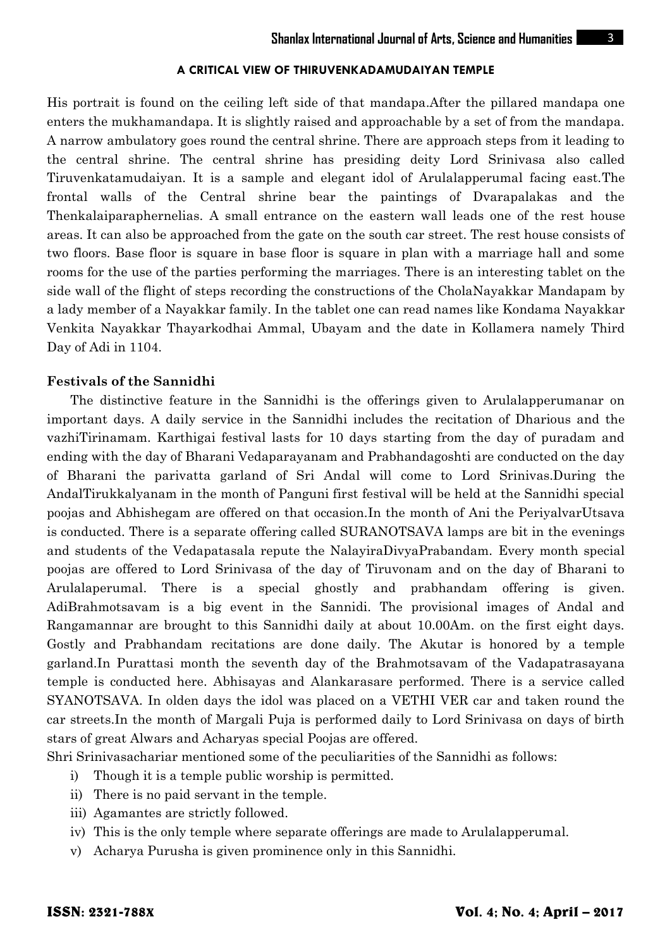#### **A CRITICAL VIEW OF THIRUVENKADAMUDAIYAN TEMPLE**

His portrait is found on the ceiling left side of that mandapa.After the pillared mandapa one enters the mukhamandapa. It is slightly raised and approachable by a set of from the mandapa. A narrow ambulatory goes round the central shrine. There are approach steps from it leading to the central shrine. The central shrine has presiding deity Lord Srinivasa also called Tiruvenkatamudaiyan. It is a sample and elegant idol of Arulalapperumal facing east.The frontal walls of the Central shrine bear the paintings of Dvarapalakas and the Thenkalaiparaphernelias. A small entrance on the eastern wall leads one of the rest house areas. It can also be approached from the gate on the south car street. The rest house consists of two floors. Base floor is square in base floor is square in plan with a marriage hall and some rooms for the use of the parties performing the marriages. There is an interesting tablet on the side wall of the flight of steps recording the constructions of the CholaNayakkar Mandapam by a lady member of a Nayakkar family. In the tablet one can read names like Kondama Nayakkar Venkita Nayakkar Thayarkodhai Ammal, Ubayam and the date in Kollamera namely Third Day of Adi in 1104.

#### **Festivals of the Sannidhi**

The distinctive feature in the Sannidhi is the offerings given to Arulalapperumanar on important days. A daily service in the Sannidhi includes the recitation of Dharious and the vazhiTirinamam. Karthigai festival lasts for 10 days starting from the day of puradam and ending with the day of Bharani Vedaparayanam and Prabhandagoshti are conducted on the day of Bharani the parivatta garland of Sri Andal will come to Lord Srinivas.During the AndalTirukkalyanam in the month of Panguni first festival will be held at the Sannidhi special poojas and Abhishegam are offered on that occasion.In the month of Ani the PeriyalvarUtsava is conducted. There is a separate offering called SURANOTSAVA lamps are bit in the evenings and students of the Vedapatasala repute the NalayiraDivyaPrabandam. Every month special poojas are offered to Lord Srinivasa of the day of Tiruvonam and on the day of Bharani to Arulalaperumal. There is a special ghostly and prabhandam offering is given. AdiBrahmotsavam is a big event in the Sannidi. The provisional images of Andal and Rangamannar are brought to this Sannidhi daily at about 10.00Am. on the first eight days. Gostly and Prabhandam recitations are done daily. The Akutar is honored by a temple garland.In Purattasi month the seventh day of the Brahmotsavam of the Vadapatrasayana temple is conducted here. Abhisayas and Alankarasare performed. There is a service called SYANOTSAVA. In olden days the idol was placed on a VETHI VER car and taken round the car streets.In the month of Margali Puja is performed daily to Lord Srinivasa on days of birth stars of great Alwars and Acharyas special Poojas are offered.

Shri Srinivasachariar mentioned some of the peculiarities of the Sannidhi as follows:

- i) Though it is a temple public worship is permitted.
- ii) There is no paid servant in the temple.
- iii) Agamantes are strictly followed.
- iv) This is the only temple where separate offerings are made to Arulalapperumal.
- v) Acharya Purusha is given prominence only in this Sannidhi.